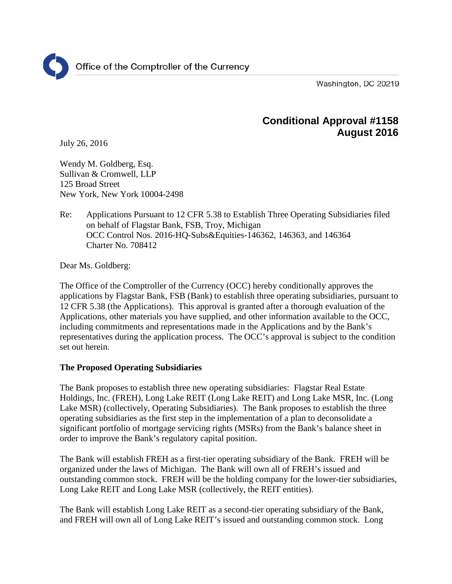Washington, DC 20219

# **Conditional Approval #1158 August 2016**

July 26, 2016

Wendy M. Goldberg, Esq. Sullivan & Cromwell, LLP 125 Broad Street New York, New York 10004-2498

Re: Applications Pursuant to 12 CFR 5.38 to Establish Three Operating Subsidiaries filed on behalf of Flagstar Bank, FSB, Troy, Michigan OCC Control Nos. 2016-HQ-Subs&Equities-146362, 146363, and 146364 Charter No. 708412

Dear Ms. Goldberg:

The Office of the Comptroller of the Currency (OCC) hereby conditionally approves the applications by Flagstar Bank, FSB (Bank) to establish three operating subsidiaries, pursuant to 12 CFR 5.38 (the Applications). This approval is granted after a thorough evaluation of the Applications, other materials you have supplied, and other information available to the OCC, including commitments and representations made in the Applications and by the Bank's representatives during the application process. The OCC's approval is subject to the condition set out herein.

## **The Proposed Operating Subsidiaries**

The Bank proposes to establish three new operating subsidiaries: Flagstar Real Estate Holdings, Inc. (FREH), Long Lake REIT (Long Lake REIT) and Long Lake MSR, Inc. (Long Lake MSR) (collectively, Operating Subsidiaries). The Bank proposes to establish the three operating subsidiaries as the first step in the implementation of a plan to deconsolidate a significant portfolio of mortgage servicing rights (MSRs) from the Bank's balance sheet in order to improve the Bank's regulatory capital position.

The Bank will establish FREH as a first-tier operating subsidiary of the Bank. FREH will be organized under the laws of Michigan. The Bank will own all of FREH's issued and outstanding common stock. FREH will be the holding company for the lower-tier subsidiaries, Long Lake REIT and Long Lake MSR (collectively, the REIT entities).

The Bank will establish Long Lake REIT as a second-tier operating subsidiary of the Bank, and FREH will own all of Long Lake REIT's issued and outstanding common stock. Long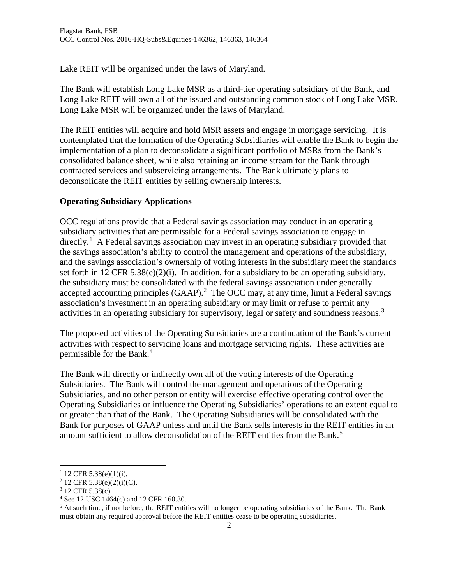Lake REIT will be organized under the laws of Maryland.

The Bank will establish Long Lake MSR as a third-tier operating subsidiary of the Bank, and Long Lake REIT will own all of the issued and outstanding common stock of Long Lake MSR. Long Lake MSR will be organized under the laws of Maryland.

The REIT entities will acquire and hold MSR assets and engage in mortgage servicing. It is contemplated that the formation of the Operating Subsidiaries will enable the Bank to begin the implementation of a plan to deconsolidate a significant portfolio of MSRs from the Bank's consolidated balance sheet, while also retaining an income stream for the Bank through contracted services and subservicing arrangements. The Bank ultimately plans to deconsolidate the REIT entities by selling ownership interests.

## **Operating Subsidiary Applications**

OCC regulations provide that a Federal savings association may conduct in an operating subsidiary activities that are permissible for a Federal savings association to engage in directly.<sup>[1](#page-1-0)</sup> A Federal savings association may invest in an operating subsidiary provided that the savings association's ability to control the management and operations of the subsidiary, and the savings association's ownership of voting interests in the subsidiary meet the standards set forth in 12 CFR 5.38(e)(2)(i). In addition, for a subsidiary to be an operating subsidiary, the subsidiary must be consolidated with the federal savings association under generally accepted accounting principles  $(GAAP)$ .<sup>[2](#page-1-1)</sup> The OCC may, at any time, limit a Federal savings association's investment in an operating subsidiary or may limit or refuse to permit any activities in an operating subsidiary for supervisory, legal or safety and soundness reasons.<sup>[3](#page-1-2)</sup>

The proposed activities of the Operating Subsidiaries are a continuation of the Bank's current activities with respect to servicing loans and mortgage servicing rights. These activities are permissible for the Bank.<sup>[4](#page-1-3)</sup>

The Bank will directly or indirectly own all of the voting interests of the Operating Subsidiaries. The Bank will control the management and operations of the Operating Subsidiaries, and no other person or entity will exercise effective operating control over the Operating Subsidiaries or influence the Operating Subsidiaries' operations to an extent equal to or greater than that of the Bank. The Operating Subsidiaries will be consolidated with the Bank for purposes of GAAP unless and until the Bank sells interests in the REIT entities in an amount sufficient to allow deconsolidation of the REIT entities from the Bank. [5](#page-1-4)

<span id="page-1-1"></span><span id="page-1-0"></span><sup>&</sup>lt;sup>1</sup> 12 CFR 5.38(e)(1)(i).<br><sup>2</sup> 12 CFR 5.38(e)(2)(i)(C).

<span id="page-1-2"></span><sup>3</sup> 12 CFR 5.38(c).

<span id="page-1-3"></span><sup>4</sup> See 12 USC 1464(c) and 12 CFR 160.30.

<span id="page-1-4"></span><sup>&</sup>lt;sup>5</sup> At such time, if not before, the REIT entities will no longer be operating subsidiaries of the Bank. The Bank must obtain any required approval before the REIT entities cease to be operating subsidiaries.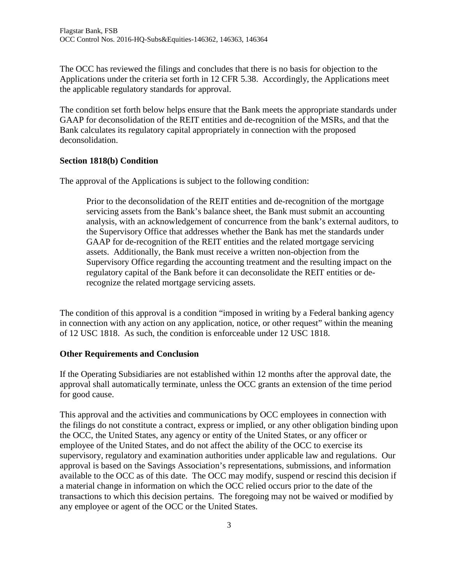The OCC has reviewed the filings and concludes that there is no basis for objection to the Applications under the criteria set forth in 12 CFR 5.38. Accordingly, the Applications meet the applicable regulatory standards for approval.

The condition set forth below helps ensure that the Bank meets the appropriate standards under GAAP for deconsolidation of the REIT entities and de-recognition of the MSRs, and that the Bank calculates its regulatory capital appropriately in connection with the proposed deconsolidation.

### **Section 1818(b) Condition**

The approval of the Applications is subject to the following condition:

Prior to the deconsolidation of the REIT entities and de-recognition of the mortgage servicing assets from the Bank's balance sheet, the Bank must submit an accounting analysis, with an acknowledgement of concurrence from the bank's external auditors, to the Supervisory Office that addresses whether the Bank has met the standards under GAAP for de-recognition of the REIT entities and the related mortgage servicing assets. Additionally, the Bank must receive a written non-objection from the Supervisory Office regarding the accounting treatment and the resulting impact on the regulatory capital of the Bank before it can deconsolidate the REIT entities or derecognize the related mortgage servicing assets.

The condition of this approval is a condition "imposed in writing by a Federal banking agency in connection with any action on any application, notice, or other request" within the meaning of 12 USC 1818. As such, the condition is enforceable under 12 USC 1818.

### **Other Requirements and Conclusion**

If the Operating Subsidiaries are not established within 12 months after the approval date, the approval shall automatically terminate, unless the OCC grants an extension of the time period for good cause.

This approval and the activities and communications by OCC employees in connection with the filings do not constitute a contract, express or implied, or any other obligation binding upon the OCC, the United States, any agency or entity of the United States, or any officer or employee of the United States, and do not affect the ability of the OCC to exercise its supervisory, regulatory and examination authorities under applicable law and regulations. Our approval is based on the Savings Association's representations, submissions, and information available to the OCC as of this date. The OCC may modify, suspend or rescind this decision if a material change in information on which the OCC relied occurs prior to the date of the transactions to which this decision pertains. The foregoing may not be waived or modified by any employee or agent of the OCC or the United States.